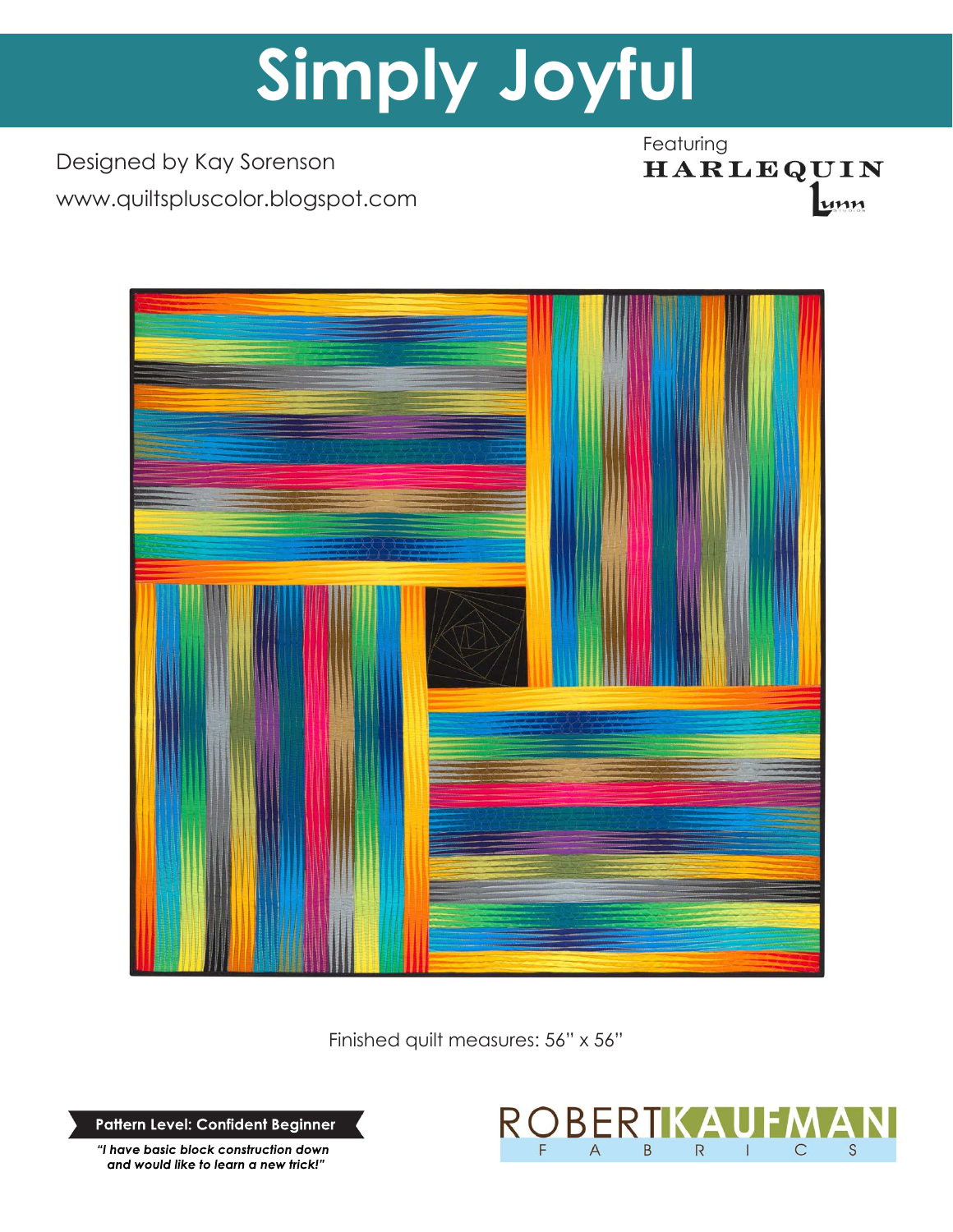# **Simply Joyful**

Designed by Kay Sorenson www.quiltspluscolor.blogspot.com Featuring<br> **HARLEQUIN** unn



Finished quilt measures: 56" x 56"

**Pattern Level: Confident Beginner**

*"I have basic block construction down and would like to learn a new trick!"*

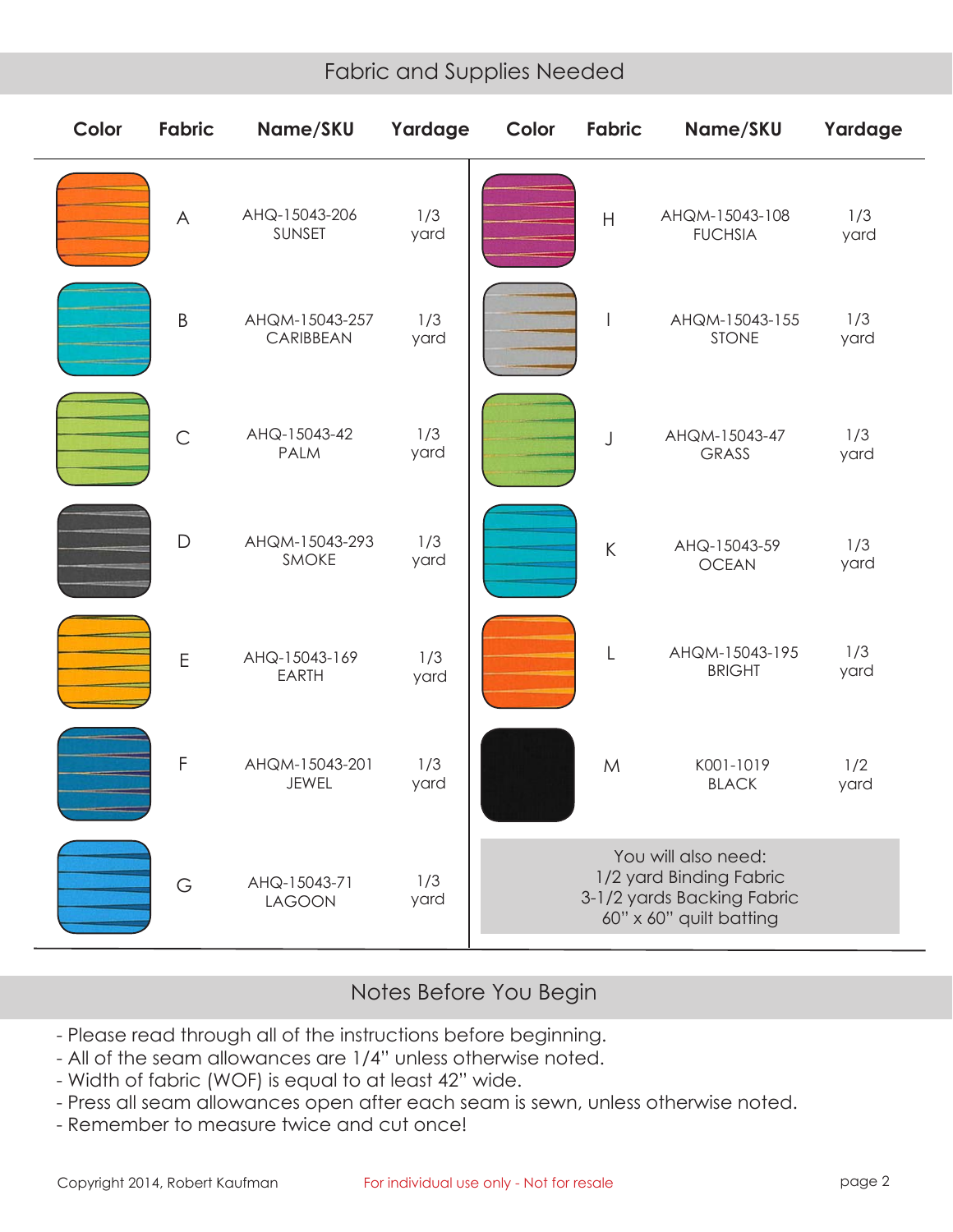# Fabric and Supplies Needed

| Color | <b>Fabric</b>  | Name/SKU                       | Yardage     | Color                                                                                                   | Fabric                   | Name/SKU                         | Yardage     |
|-------|----------------|--------------------------------|-------------|---------------------------------------------------------------------------------------------------------|--------------------------|----------------------------------|-------------|
|       | $\wedge$       | AHQ-15043-206<br>SUNSET        | 1/3<br>yard |                                                                                                         | H                        | AHQM-15043-108<br><b>FUCHSIA</b> | 1/3<br>yard |
|       | $\sf B$        | AHQM-15043-257<br>CARIBBEAN    | 1/3<br>yard |                                                                                                         | $\overline{\phantom{a}}$ | AHQM-15043-155<br><b>STONE</b>   | 1/3<br>yard |
|       | $\overline{C}$ | AHQ-15043-42<br><b>PALM</b>    | 1/3<br>yard |                                                                                                         | J                        | AHQM-15043-47<br><b>GRASS</b>    | 1/3<br>yard |
|       | $\mathsf{D}$   | AHQM-15043-293<br><b>SMOKE</b> | 1/3<br>yard |                                                                                                         | $\sf K$                  | AHQ-15043-59<br><b>OCEAN</b>     | 1/3<br>yard |
|       | $\mathsf E$    | AHQ-15043-169<br><b>EARTH</b>  | 1/3<br>yard |                                                                                                         | L                        | AHQM-15043-195<br><b>BRIGHT</b>  | 1/3<br>yard |
|       | $\mathsf F$    | AHQM-15043-201<br><b>JEWEL</b> | 1/3<br>yard |                                                                                                         | M                        | K001-1019<br><b>BLACK</b>        | 1/2<br>yard |
|       | G              | AHQ-15043-71<br><b>LAGOON</b>  | 1/3<br>yard | You will also need:<br>1/2 yard Binding Fabric<br>3-1/2 yards Backing Fabric<br>60" x 60" quilt batting |                          |                                  |             |

## Notes Before You Begin

- Please read through all of the instructions before beginning.
- All of the seam allowances are 1/4" unless otherwise noted.
- Width of fabric (WOF) is equal to at least 42" wide.
- Press all seam allowances open after each seam is sewn, unless otherwise noted.
- Remember to measure twice and cut once!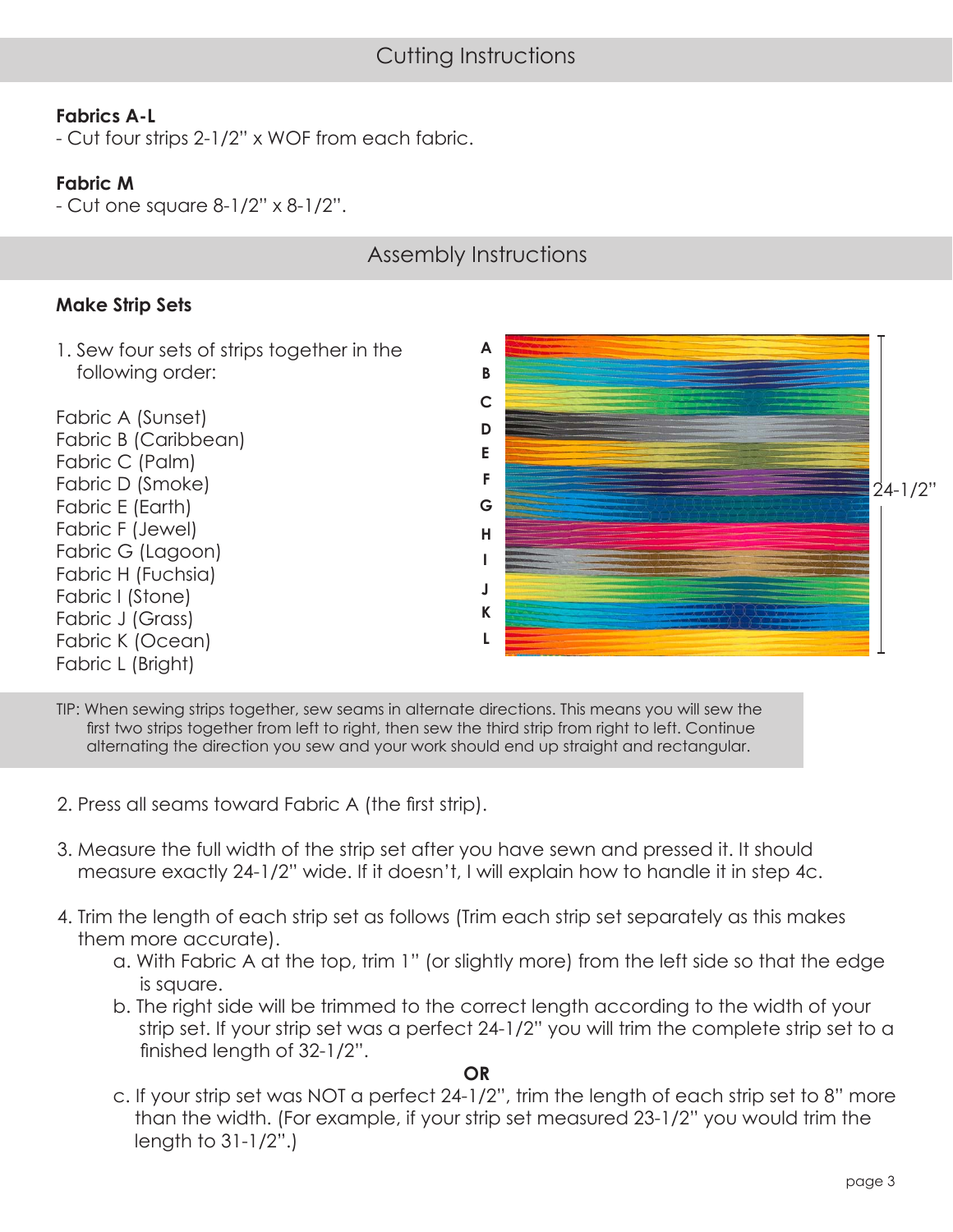## **Fabrics A-L**

- Cut four strips 2-1/2" x WOF from each fabric.

#### **Fabric M**

- Cut one square 8-1/2" x 8-1/2".

# Assembly Instructions

#### **Make Strip Sets**

1. Sew four sets of strips together in the following order:

Fabric A (Sunset) Fabric B (Caribbean) Fabric C (Palm) Fabric D (Smoke) Fabric E (Earth) Fabric F (Jewel) Fabric G (Lagoon) Fabric H (Fuchsia) Fabric I (Stone) Fabric J (Grass) Fabric K (Ocean) Fabric L (Bright)



TIP: When sewing strips together, sew seams in alternate directions. This means you will sew the first two strips together from left to right, then sew the third strip from right to left. Continue alternating the direction you sew and your work should end up straight and rectangular.

- 2. Press all seams toward Fabric A (the first strip).
- 3. Measure the full width of the strip set after you have sewn and pressed it. It should measure exactly 24-1/2" wide. If it doesn't, I will explain how to handle it in step 4c.
- 4. Trim the length of each strip set as follows (Trim each strip set separately as this makes them more accurate).
	- a. With Fabric A at the top, trim 1" (or slightly more) from the left side so that the edge is square.
	- b. The right side will be trimmed to the correct length according to the width of your strip set. If your strip set was a perfect 24-1/2" you will trim the complete strip set to a finished length of 32-1/2".

#### **OR**

 c. If your strip set was NOT a perfect 24-1/2", trim the length of each strip set to 8" more than the width. (For example, if your strip set measured 23-1/2" you would trim the length to 31-1/2".)